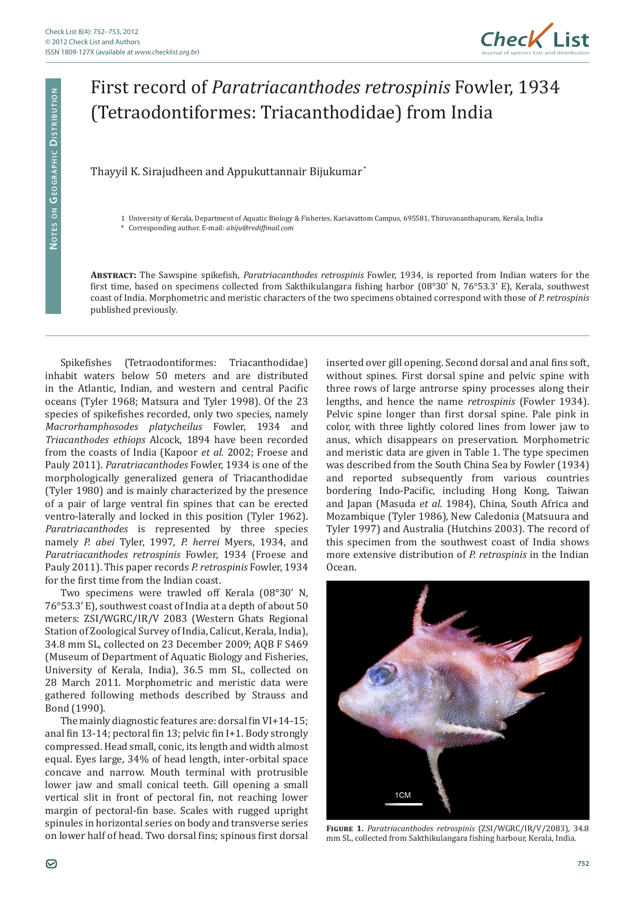

## First record of *Paratriacanthodes retrospinis* Fowler, 1934 (Tetraodontiformes: Triacanthodidae) from India

## Thayyil K. Sirajudheen and Appukuttannair Bijukumar \*

1 University of Kerala, Department of Aquatic Biology & Fisheries, Kariavattom Campus, 695581, Thiruvananthapuram, Kerala, India

\* Corresponding author. E-mail: *abiju@rediffmail.com*

**Abstract:** The Sawspine spikefish, *Paratriacanthodes retrospinis* Fowler, 1934, is reported from Indian waters for the first time, based on specimens collected from Sakthikulangara fishing harbor (08°30' N, 76°53.3' E), Kerala, southwest coast of India. Morphometric and meristic characters of the two specimens obtained correspond with those of *P. retrospinis*  published previously.

Spikefishes (Tetraodontiformes: Triacanthodidae) inhabit waters below 50 meters and are distributed in the Atlantic, Indian, and western and central Pacific oceans (Tyler 1968; Matsura and Tyler 1998). Of the 23 species of spikefishes recorded, only two species, namely *Macrorhamphosodes platycheilus* Fowler, 1934 and *Triacanthodes ethiops* Alcock, 1894 have been recorded from the coasts of India (Kapoor *et al.* 2002; Froese and Pauly 2011). *Paratriacanthodes* Fowler, 1934 is one of the morphologically generalized genera of Triacanthodidae (Tyler 1980) and is mainly characterized by the presence of a pair of large ventral fin spines that can be erected ventro-laterally and locked in this position (Tyler 1962). *Paratriacanthodes* is represented by three species namely *P. abei* Tyler, 1997, *P. herrei* Myers, 1934, and *Paratriacanthodes retrospinis* Fowler, 1934 (Froese and Pauly 2011). This paper records *P. retrospinis* Fowler, 1934 for the first time from the Indian coast.

Two specimens were trawled off Kerala (08°30' N, 76°53.3' E), southwest coast of India at a depth of about 50 meters: ZSI/WGRC/IR/V 2083 (Western Ghats Regional Station of Zoological Survey of India, Calicut, Kerala, India), 34.8 mm SL, collected on 23 December 2009; AQB F S469 (Museum of Department of Aquatic Biology and Fisheries, University of Kerala, India), 36.5 mm SL, collected on 28 March 2011. Morphometric and meristic data were gathered following methods described by Strauss and Bond (1990).

The mainly diagnostic features are: dorsal fin VI+14-15; anal fin 13-14; pectoral fin 13; pelvic fin I+1. Body strongly compressed. Head small, conic, its length and width almost equal. Eyes large, 34% of head length, inter-orbital space concave and narrow. Mouth terminal with protrusible lower jaw and small conical teeth. Gill opening a small vertical slit in front of pectoral fin, not reaching lower margin of pectoral-fin base. Scales with rugged upright spinules in horizontal series on body and transverse series on lower half of head. Two dorsal fins; spinous first dorsal

inserted over gill opening. Second dorsal and anal fins soft, without spines. First dorsal spine and pelvic spine with three rows of large antrorse spiny processes along their lengths, and hence the name *retrospinis* (Fowler 1934). Pelvic spine longer than first dorsal spine. Pale pink in color, with three lightly colored lines from lower jaw to anus, which disappears on preservation. Morphometric and meristic data are given in Table 1. The type specimen was described from the South China Sea by Fowler (1934) and reported subsequently from various countries bordering Indo-Pacific, including Hong Kong, Taiwan and Japan (Masuda *et al.* 1984), China, South Africa and Mozambique (Tyler 1986), New Caledonia (Matsuura and Tyler 1997) and Australia (Hutchins 2003). The record of this specimen from the southwest coast of India shows more extensive distribution of *P. retrospinis* in the Indian Ocean.



**Figure 1.** *Paratriacanthodes retrospinis* (ZSI/WGRC/IR/V/2083), 34.8 mm SL, collected from Sakthikulangara fishing harbour, Kerala, India.